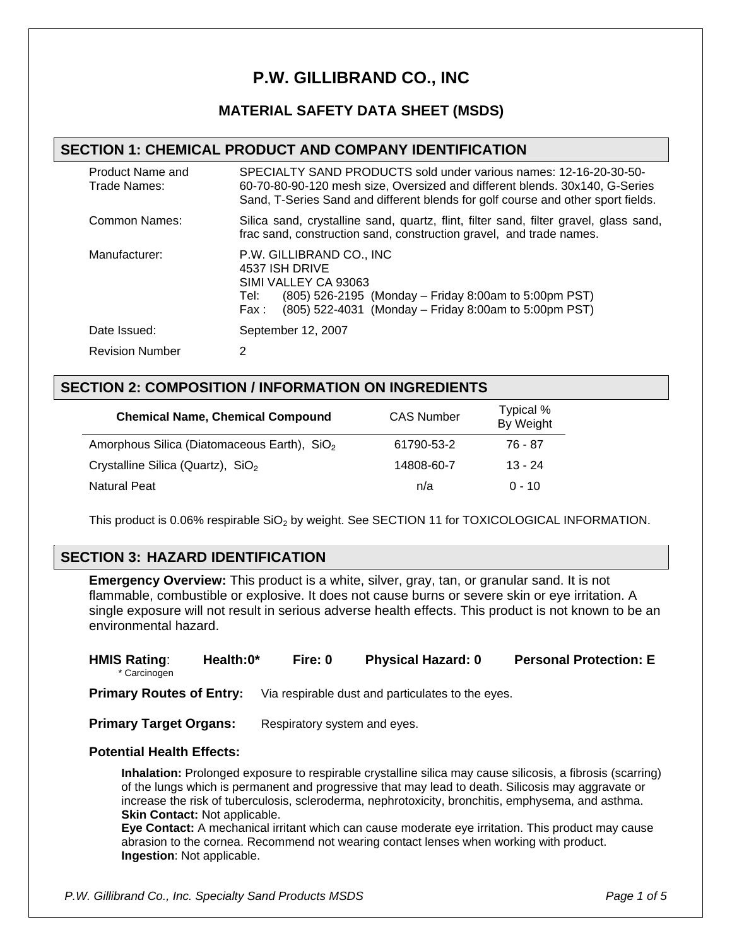# **P.W. GILLIBRAND CO., INC**

# **MATERIAL SAFETY DATA SHEET (MSDS)**

## **SECTION 1: CHEMICAL PRODUCT AND COMPANY IDENTIFICATION**

| Product Name and<br>Trade Names: | SPECIALTY SAND PRODUCTS sold under various names: 12-16-20-30-50-<br>60-70-80-90-120 mesh size, Oversized and different blends. 30x140, G-Series<br>Sand, T-Series Sand and different blends for golf course and other sport fields. |
|----------------------------------|--------------------------------------------------------------------------------------------------------------------------------------------------------------------------------------------------------------------------------------|
| Common Names:                    | Silica sand, crystalline sand, quartz, flint, filter sand, filter gravel, glass sand,<br>frac sand, construction sand, construction gravel, and trade names.                                                                         |
| Manufacturer:                    | P.W. GILLIBRAND CO., INC.<br>4537 ISH DRIVE<br>SIMI VALLEY CA 93063<br>(805) 526-2195 (Monday – Friday 8:00am to 5:00pm PST)<br>Tel:<br>(805) 522-4031 (Monday – Friday 8:00am to 5:00pm PST)<br>Fax :                               |
| Date Issued:                     | September 12, 2007                                                                                                                                                                                                                   |
| <b>Revision Number</b>           | 2                                                                                                                                                                                                                                    |

## **SECTION 2: COMPOSITION / INFORMATION ON INGREDIENTS**

| <b>Chemical Name, Chemical Compound</b>                 | <b>CAS Number</b> | Typical %<br>By Weight |
|---------------------------------------------------------|-------------------|------------------------|
| Amorphous Silica (Diatomaceous Earth), SiO <sub>2</sub> | 61790-53-2        | 76 - 87                |
| Crystalline Silica (Quartz), $SiO2$                     | 14808-60-7        | $13 - 24$              |
| Natural Peat                                            | n/a               | $0 - 10$               |

This product is 0.06% respirable SiO<sub>2</sub> by weight. See SECTION 11 for TOXICOLOGICAL INFORMATION.

## **SECTION 3: HAZARD IDENTIFICATION**

**Emergency Overview:** This product is a white, silver, gray, tan, or granular sand. It is not flammable, combustible or explosive. It does not cause burns or severe skin or eye irritation. A single exposure will not result in serious adverse health effects. This product is not known to be an environmental hazard.

| <b>HMIS Rating:</b><br>* Carcinogen | Health:0* | Fire: 0                      | <b>Physical Hazard: 0</b>                         | <b>Personal Protection: E</b> |
|-------------------------------------|-----------|------------------------------|---------------------------------------------------|-------------------------------|
| <b>Primary Routes of Entry:</b>     |           |                              | Via respirable dust and particulates to the eyes. |                               |
| <b>Primary Target Organs:</b>       |           | Respiratory system and eyes. |                                                   |                               |
| Dotontial Hoalth Effoote:           |           |                              |                                                   |                               |

#### **Potential Health Effects:**

**Inhalation:** Prolonged exposure to respirable crystalline silica may cause silicosis, a fibrosis (scarring) of the lungs which is permanent and progressive that may lead to death. Silicosis may aggravate or increase the risk of tuberculosis, scleroderma, nephrotoxicity, bronchitis, emphysema, and asthma. **Skin Contact: Not applicable.** 

**Eye Contact:** A mechanical irritant which can cause moderate eye irritation. This product may cause abrasion to the cornea. Recommend not wearing contact lenses when working with product. **Ingestion**: Not applicable.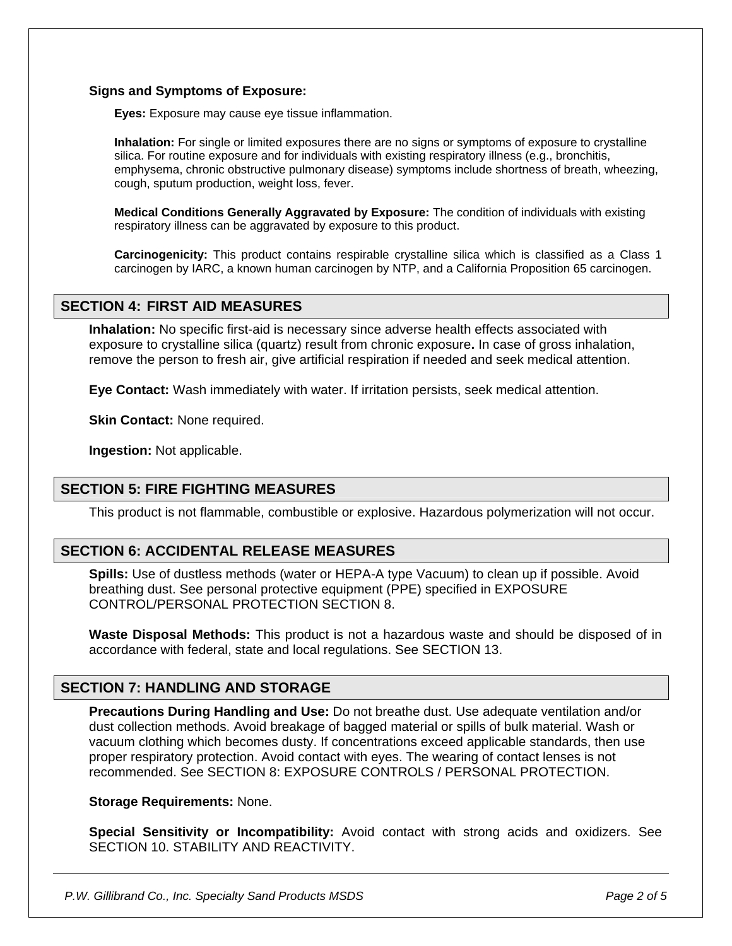#### **Signs and Symptoms of Exposure:**

**Eyes:** Exposure may cause eye tissue inflammation.

**Inhalation:** For single or limited exposures there are no signs or symptoms of exposure to crystalline silica. For routine exposure and for individuals with existing respiratory illness (e.g., bronchitis, emphysema, chronic obstructive pulmonary disease) symptoms include shortness of breath, wheezing, cough, sputum production, weight loss, fever.

**Medical Conditions Generally Aggravated by Exposure:** The condition of individuals with existing respiratory illness can be aggravated by exposure to this product.

**Carcinogenicity:** This product contains respirable crystalline silica which is classified as a Class 1 carcinogen by IARC, a known human carcinogen by NTP, and a California Proposition 65 carcinogen.

## **SECTION 4: FIRST AID MEASURES**

**Inhalation:** No specific first-aid is necessary since adverse health effects associated with exposure to crystalline silica (quartz) result from chronic exposure**.** In case of gross inhalation, remove the person to fresh air, give artificial respiration if needed and seek medical attention.

**Eye Contact:** Wash immediately with water. If irritation persists, seek medical attention.

**Skin Contact:** None required.

**Ingestion:** Not applicable.

# **SECTION 5: FIRE FIGHTING MEASURES**

This product is not flammable, combustible or explosive. Hazardous polymerization will not occur.

## **SECTION 6: ACCIDENTAL RELEASE MEASURES**

**Spills:** Use of dustless methods (water or HEPA-A type Vacuum) to clean up if possible. Avoid breathing dust. See personal protective equipment (PPE) specified in EXPOSURE CONTROL/PERSONAL PROTECTION SECTION 8.

**Waste Disposal Methods:** This product is not a hazardous waste and should be disposed of in accordance with federal, state and local regulations. See SECTION 13.

## **SECTION 7: HANDLING AND STORAGE**

**Precautions During Handling and Use:** Do not breathe dust. Use adequate ventilation and/or dust collection methods. Avoid breakage of bagged material or spills of bulk material. Wash or vacuum clothing which becomes dusty. If concentrations exceed applicable standards, then use proper respiratory protection. Avoid contact with eyes. The wearing of contact lenses is not recommended. See SECTION 8: EXPOSURE CONTROLS / PERSONAL PROTECTION.

#### **Storage Requirements:** None.

**Special Sensitivity or Incompatibility:** Avoid contact with strong acids and oxidizers. See SECTION 10. STABILITY AND REACTIVITY.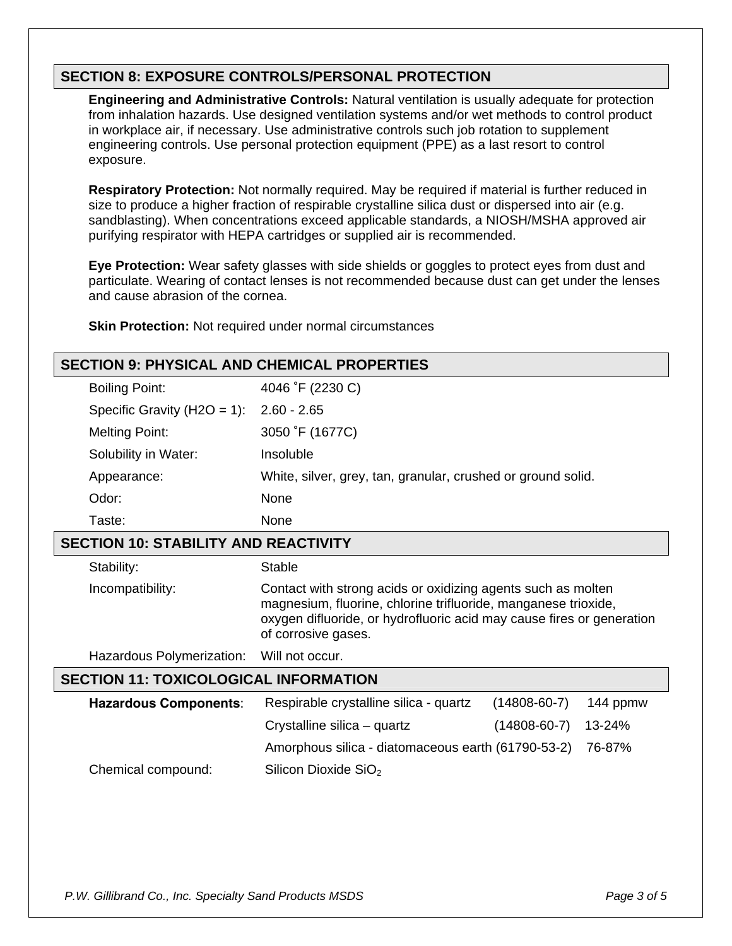# **SECTION 8: EXPOSURE CONTROLS/PERSONAL PROTECTION**

**Engineering and Administrative Controls:** Natural ventilation is usually adequate for protection from inhalation hazards. Use designed ventilation systems and/or wet methods to control product in workplace air, if necessary. Use administrative controls such job rotation to supplement engineering controls. Use personal protection equipment (PPE) as a last resort to control exposure.

**Respiratory Protection:** Not normally required. May be required if material is further reduced in size to produce a higher fraction of respirable crystalline silica dust or dispersed into air (e.g. sandblasting). When concentrations exceed applicable standards, a NIOSH/MSHA approved air purifying respirator with HEPA cartridges or supplied air is recommended.

**Eye Protection:** Wear safety glasses with side shields or goggles to protect eyes from dust and particulate. Wearing of contact lenses is not recommended because dust can get under the lenses and cause abrasion of the cornea.

**Skin Protection:** Not required under normal circumstances

| <b>SECTION 9: PHYSICAL AND CHEMICAL PROPERTIES</b> |                                                                                                                                                                                                                                |                    |          |  |  |
|----------------------------------------------------|--------------------------------------------------------------------------------------------------------------------------------------------------------------------------------------------------------------------------------|--------------------|----------|--|--|
| <b>Boiling Point:</b>                              | 4046 °F (2230 C)                                                                                                                                                                                                               |                    |          |  |  |
| Specific Gravity ( $H2O = 1$ ):                    | $2.60 - 2.65$                                                                                                                                                                                                                  |                    |          |  |  |
| <b>Melting Point:</b>                              | 3050 °F (1677C)                                                                                                                                                                                                                |                    |          |  |  |
| Solubility in Water:                               | Insoluble                                                                                                                                                                                                                      |                    |          |  |  |
| Appearance:                                        | White, silver, grey, tan, granular, crushed or ground solid.                                                                                                                                                                   |                    |          |  |  |
| Odor:                                              | None                                                                                                                                                                                                                           |                    |          |  |  |
| Taste:                                             | None                                                                                                                                                                                                                           |                    |          |  |  |
| <b>SECTION 10: STABILITY AND REACTIVITY</b>        |                                                                                                                                                                                                                                |                    |          |  |  |
| Stability:                                         | Stable                                                                                                                                                                                                                         |                    |          |  |  |
| Incompatibility:                                   | Contact with strong acids or oxidizing agents such as molten<br>magnesium, fluorine, chlorine trifluoride, manganese trioxide,<br>oxygen difluoride, or hydrofluoric acid may cause fires or generation<br>of corrosive gases. |                    |          |  |  |
| Hazardous Polymerization:                          | Will not occur.                                                                                                                                                                                                                |                    |          |  |  |
| <b>SECTION 11: TOXICOLOGICAL INFORMATION</b>       |                                                                                                                                                                                                                                |                    |          |  |  |
| <b>Hazardous Components:</b>                       | Respirable crystalline silica - quartz                                                                                                                                                                                         | $(14808 - 60 - 7)$ | 144 ppmw |  |  |
|                                                    | Crystalline silica – quartz                                                                                                                                                                                                    | $(14808 - 60 - 7)$ | 13-24%   |  |  |
|                                                    | Amorphous silica - diatomaceous earth (61790-53-2)                                                                                                                                                                             |                    | 76-87%   |  |  |
| Chemical compound:                                 | Silicon Dioxide SiO <sub>2</sub>                                                                                                                                                                                               |                    |          |  |  |
|                                                    |                                                                                                                                                                                                                                |                    |          |  |  |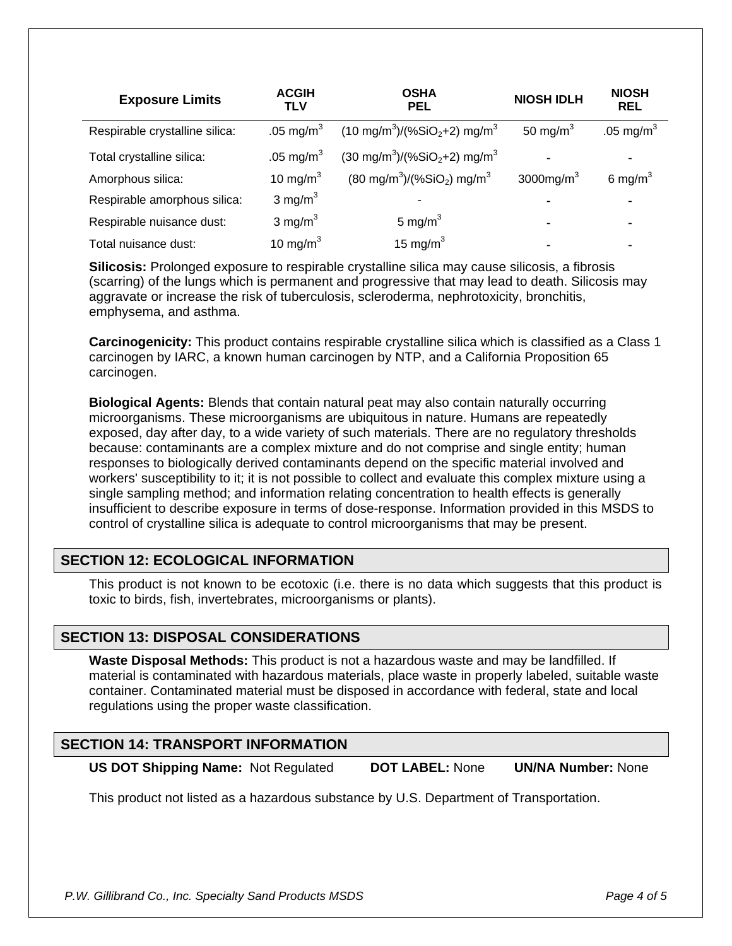| <b>Exposure Limits</b>         | <b>ACGIH</b><br>TLV | <b>OSHA</b><br><b>PEL</b>                      | <b>NIOSH IDLH</b> | <b>NIOSH</b><br><b>REL</b> |
|--------------------------------|---------------------|------------------------------------------------|-------------------|----------------------------|
| Respirable crystalline silica: | .05 mg/m $^3$       | $(10 \text{ mg/m}^3)/(%SiO2+2) \text{ mg/m}^3$ | 50 mg/m $3$       | .05 mg/m $^3$              |
| Total crystalline silica:      | .05 mg/m $^3$       | $(30 \text{ mg/m}^3)/(%SiO2+2) \text{ mg/m}^3$ |                   |                            |
| Amorphous silica:              | 10 mg/m $3$         | $(80 \text{ mg/m}^3)/(%SiO_2) \text{ mg/m}^3$  | 3000 $mg/m3$      | 6 mg/m <sup>3</sup>        |
| Respirable amorphous silica:   | 3 mg/m $3$          |                                                |                   |                            |
| Respirable nuisance dust:      | 3 mg/ $m3$          | 5 mg/m $3$                                     |                   |                            |
| Total nuisance dust:           | 10 mg/m $3$         | 15 mg/m $3$                                    |                   |                            |

**Silicosis:** Prolonged exposure to respirable crystalline silica may cause silicosis, a fibrosis (scarring) of the lungs which is permanent and progressive that may lead to death. Silicosis may aggravate or increase the risk of tuberculosis, scleroderma, nephrotoxicity, bronchitis, emphysema, and asthma.

**Carcinogenicity:** This product contains respirable crystalline silica which is classified as a Class 1 carcinogen by IARC, a known human carcinogen by NTP, and a California Proposition 65 carcinogen.

**Biological Agents:** Blends that contain natural peat may also contain naturally occurring microorganisms. These microorganisms are ubiquitous in nature. Humans are repeatedly exposed, day after day, to a wide variety of such materials. There are no regulatory thresholds because: contaminants are a complex mixture and do not comprise and single entity; human responses to biologically derived contaminants depend on the specific material involved and workers' susceptibility to it; it is not possible to collect and evaluate this complex mixture using a single sampling method; and information relating concentration to health effects is generally insufficient to describe exposure in terms of dose-response. Information provided in this MSDS to control of crystalline silica is adequate to control microorganisms that may be present.

## **SECTION 12: ECOLOGICAL INFORMATION**

This product is not known to be ecotoxic (i.e. there is no data which suggests that this product is toxic to birds, fish, invertebrates, microorganisms or plants).

## **SECTION 13: DISPOSAL CONSIDERATIONS**

**Waste Disposal Methods:** This product is not a hazardous waste and may be landfilled. If material is contaminated with hazardous materials, place waste in properly labeled, suitable waste container. Contaminated material must be disposed in accordance with federal, state and local regulations using the proper waste classification.

## **SECTION 14: TRANSPORT INFORMATION**

**US DOT Shipping Name:** Not Regulated **DOT LABEL:** None **UN/NA Number:** None

This product not listed as a hazardous substance by U.S. Department of Transportation.